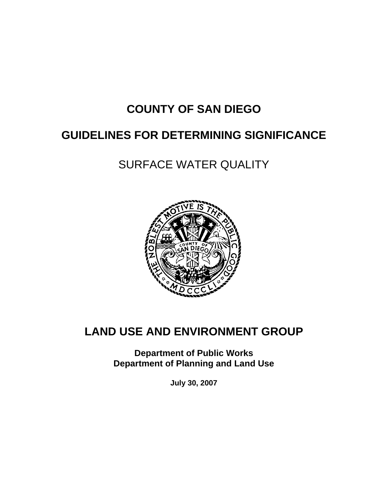# **COUNTY OF SAN DIEGO**

# **GUIDELINES FOR DETERMINING SIGNIFICANCE**

SURFACE WATER QUALITY



# **LAND USE AND ENVIRONMENT GROUP**

**Department of Public Works Department of Planning and Land Use** 

**July 30, 2007**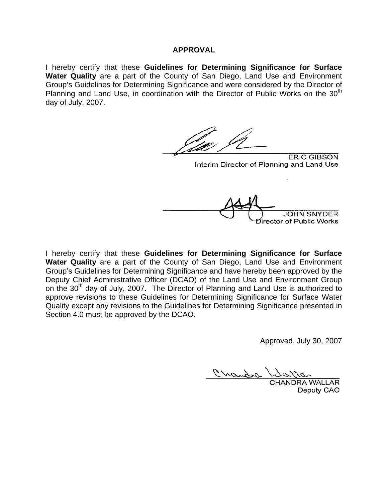#### **APPROVAL**

I hereby certify that these **Guidelines for Determining Significance for Surface Water Quality** are a part of the County of San Diego, Land Use and Environment Group's Guidelines for Determining Significance and were considered by the Director of Planning and Land Use, in coordination with the Director of Public Works on the  $30<sup>th</sup>$ day of July, 2007.

**ERIC GIBSON** Interim Director of Planning and Land Use Director of Public Works

I hereby certify that these **Guidelines for Determining Significance for Surface Water Quality** are a part of the County of San Diego, Land Use and Environment Group's Guidelines for Determining Significance and have hereby been approved by the Deputy Chief Administrative Officer (DCAO) of the Land Use and Environment Group on the 30<sup>th</sup> day of July, 2007. The Director of Planning and Land Use is authorized to approve revisions to these Guidelines for Determining Significance for Surface Water Quality except any revisions to the Guidelines for Determining Significance presented in Section 4.0 must be approved by the DCAO.

Approved, July 30, 2007

**RA WALLAR** Deputy CAO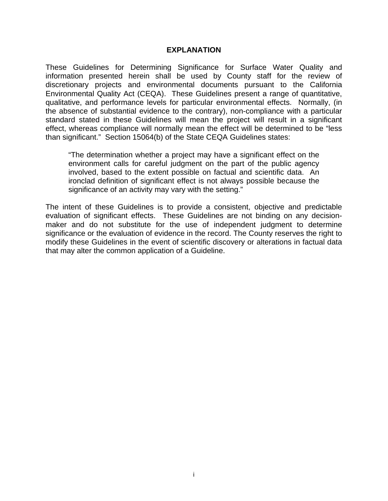#### **EXPLANATION**

These Guidelines for Determining Significance for Surface Water Quality and information presented herein shall be used by County staff for the review of discretionary projects and environmental documents pursuant to the California Environmental Quality Act (CEQA). These Guidelines present a range of quantitative, qualitative, and performance levels for particular environmental effects. Normally, (in the absence of substantial evidence to the contrary), non-compliance with a particular standard stated in these Guidelines will mean the project will result in a significant effect, whereas compliance will normally mean the effect will be determined to be "less than significant." Section 15064(b) of the State CEQA Guidelines states:

"The determination whether a project may have a significant effect on the environment calls for careful judgment on the part of the public agency involved, based to the extent possible on factual and scientific data. An ironclad definition of significant effect is not always possible because the significance of an activity may vary with the setting."

The intent of these Guidelines is to provide a consistent, objective and predictable evaluation of significant effects. These Guidelines are not binding on any decisionmaker and do not substitute for the use of independent judgment to determine significance or the evaluation of evidence in the record. The County reserves the right to modify these Guidelines in the event of scientific discovery or alterations in factual data that may alter the common application of a Guideline.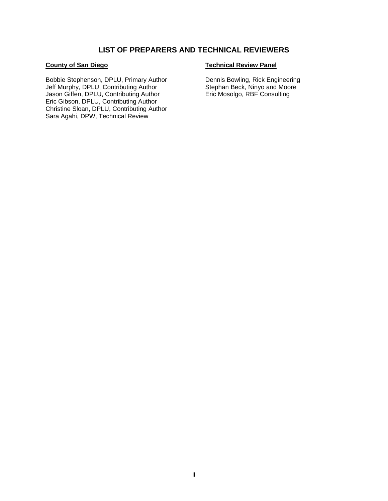#### **LIST OF PREPARERS AND TECHNICAL REVIEWERS**

#### **County of San Diego**

Bobbie Stephenson, DPLU, Primary Author Jeff Murphy, DPLU, Contributing Author Jason Giffen, DPLU, Contributing Author Eric Gibson, DPLU, Contributing Author Christine Sloan, DPLU, Contributing Author Sara Agahi, DPW, Technical Review

#### **Technical Review Panel**

Dennis Bowling, Rick Engineering Stephan Beck, Ninyo and Moore Eric Mosolgo, RBF Consulting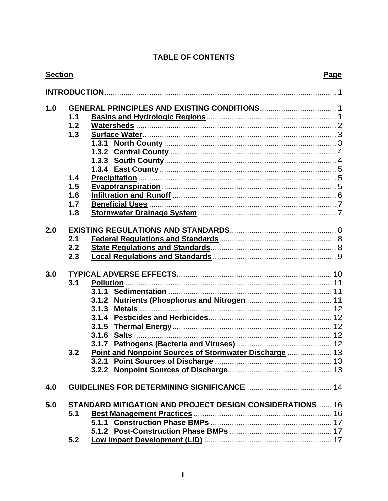# **TABLE OF CONTENTS**

| <b>Section</b> |     |                                                                 | Page |
|----------------|-----|-----------------------------------------------------------------|------|
|                |     |                                                                 |      |
| 1.0            |     |                                                                 |      |
|                | 1.1 |                                                                 |      |
|                | 1.2 |                                                                 |      |
|                | 1.3 |                                                                 |      |
|                |     |                                                                 |      |
|                |     |                                                                 |      |
|                |     |                                                                 |      |
|                |     |                                                                 |      |
|                | 1.4 |                                                                 |      |
|                | 1.5 |                                                                 |      |
|                | 1.6 |                                                                 |      |
|                | 1.7 |                                                                 |      |
|                | 1.8 |                                                                 |      |
|                |     |                                                                 |      |
| 2.0            |     |                                                                 |      |
|                | 2.1 |                                                                 |      |
|                | 2.2 |                                                                 |      |
|                | 2.3 |                                                                 |      |
|                |     |                                                                 |      |
| 3.0            |     |                                                                 |      |
|                | 3.1 |                                                                 |      |
|                |     |                                                                 |      |
|                |     | 3.1.2                                                           |      |
|                |     | 3.1.3                                                           |      |
|                |     | 3.1.4                                                           |      |
|                |     | 3.1.5                                                           |      |
|                |     |                                                                 |      |
|                |     |                                                                 |      |
|                | 3.2 | Point and Nonpoint Sources of Stormwater Discharge  13          |      |
|                |     |                                                                 |      |
|                |     |                                                                 |      |
|                |     |                                                                 |      |
| 4.0            |     |                                                                 |      |
| 5.0            |     | <b>STANDARD MITIGATION AND PROJECT DESIGN CONSIDERATIONS 16</b> |      |
|                | 5.1 |                                                                 |      |
|                |     |                                                                 |      |
|                |     |                                                                 |      |
|                | 5.2 |                                                                 |      |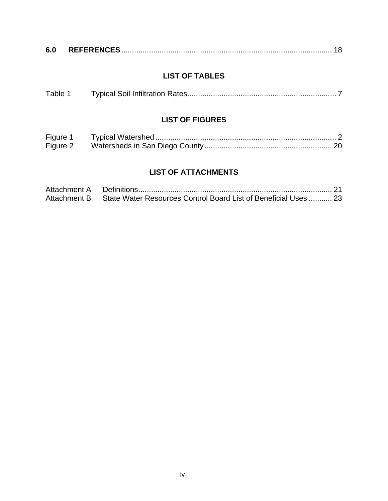| 6.0 |  |  |  |
|-----|--|--|--|
|-----|--|--|--|

# **LIST OF TABLES**

|  | Table 1 |  |  |
|--|---------|--|--|
|--|---------|--|--|

### **LIST OF FIGURES**

| Figure 1 |  |
|----------|--|
| Figure 2 |  |

# **LIST OF ATTACHMENTS**

| Attachment A |                                                                              |  |
|--------------|------------------------------------------------------------------------------|--|
|              | Attachment B State Water Resources Control Board List of Beneficial Uses  23 |  |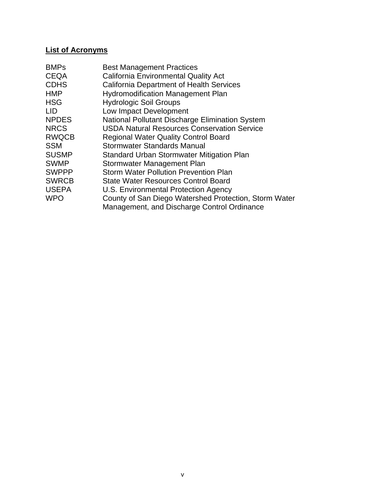# **List of Acronyms**

| <b>BMPs</b>  | <b>Best Management Practices</b>                      |
|--------------|-------------------------------------------------------|
| <b>CEQA</b>  | <b>California Environmental Quality Act</b>           |
| <b>CDHS</b>  | <b>California Department of Health Services</b>       |
| <b>HMP</b>   | <b>Hydromodification Management Plan</b>              |
| <b>HSG</b>   | <b>Hydrologic Soil Groups</b>                         |
| <b>LID</b>   | Low Impact Development                                |
| <b>NPDES</b> | National Pollutant Discharge Elimination System       |
| <b>NRCS</b>  | <b>USDA Natural Resources Conservation Service</b>    |
| <b>RWQCB</b> | <b>Regional Water Quality Control Board</b>           |
| <b>SSM</b>   | <b>Stormwater Standards Manual</b>                    |
| <b>SUSMP</b> | <b>Standard Urban Stormwater Mitigation Plan</b>      |
| <b>SWMP</b>  | Stormwater Management Plan                            |
| <b>SWPPP</b> | <b>Storm Water Pollution Prevention Plan</b>          |
| <b>SWRCB</b> | <b>State Water Resources Control Board</b>            |
| <b>USEPA</b> | U.S. Environmental Protection Agency                  |
| <b>WPO</b>   | County of San Diego Watershed Protection, Storm Water |
|              | Management, and Discharge Control Ordinance           |
|              |                                                       |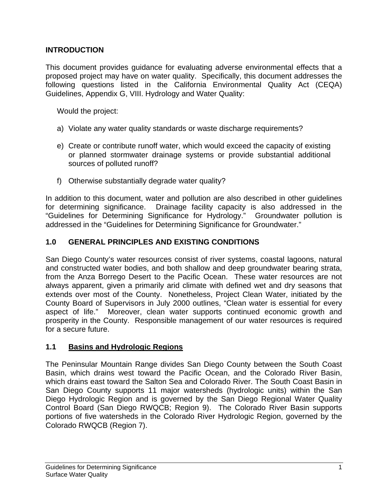# **INTRODUCTION**

This document provides guidance for evaluating adverse environmental effects that a proposed project may have on water quality. Specifically, this document addresses the following questions listed in the California Environmental Quality Act (CEQA) Guidelines, Appendix G, VIII. Hydrology and Water Quality:

Would the project:

- a) Violate any water quality standards or waste discharge requirements?
- e) Create or contribute runoff water, which would exceed the capacity of existing or planned stormwater drainage systems or provide substantial additional sources of polluted runoff?
- f) Otherwise substantially degrade water quality?

In addition to this document, water and pollution are also described in other guidelines for determining significance. Drainage facility capacity is also addressed in the "Guidelines for Determining Significance for Hydrology." Groundwater pollution is addressed in the "Guidelines for Determining Significance for Groundwater."

# **1.0 GENERAL PRINCIPLES AND EXISTING CONDITIONS**

San Diego County's water resources consist of river systems, coastal lagoons, natural and constructed water bodies, and both shallow and deep groundwater bearing strata, from the Anza Borrego Desert to the Pacific Ocean. These water resources are not always apparent, given a primarily arid climate with defined wet and dry seasons that extends over most of the County. Nonetheless, Project Clean Water, initiated by the County Board of Supervisors in July 2000 outlines, "Clean water is essential for every aspect of life." Moreover, clean water supports continued economic growth and prosperity in the County. Responsible management of our water resources is required for a secure future.

### **1.1 Basins and Hydrologic Regions**

The Peninsular Mountain Range divides San Diego County between the South Coast Basin, which drains west toward the Pacific Ocean, and the Colorado River Basin, which drains east toward the Salton Sea and Colorado River. The South Coast Basin in San Diego County supports 11 major watersheds (hydrologic units) within the San Diego Hydrologic Region and is governed by the San Diego Regional Water Quality Control Board (San Diego RWQCB; Region 9). The Colorado River Basin supports portions of five watersheds in the Colorado River Hydrologic Region, governed by the Colorado RWQCB (Region 7).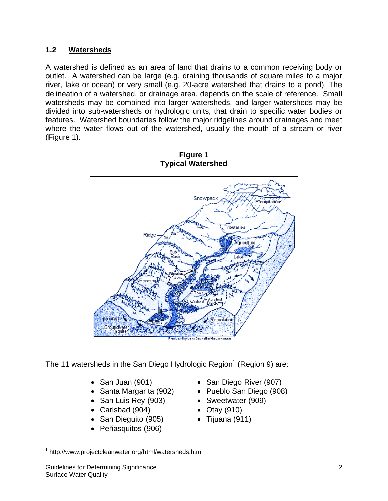## **1.2 Watersheds**

A watershed is defined as an area of land that drains to a common receiving body or outlet. A watershed can be large (e.g. draining thousands of square miles to a major river, lake or ocean) or very small (e.g. 20-acre watershed that drains to a pond). The delineation of a watershed, or drainage area, depends on the scale of reference. Small watersheds may be combined into larger watersheds, and larger watersheds may be divided into sub-watersheds or hydrologic units, that drain to specific water bodies or features. Watershed boundaries follow the major ridgelines around drainages and meet where the water flows out of the watershed, usually the mouth of a stream or river (Figure 1).



**Figure 1 Typical Watershed** 

The 11 watersheds in the San Diego Hydrologic Region<sup>1</sup> (Region 9) are:

- 
- 
- San Luis Rey (903) Sweetwater (909)
- Carlsbad (904) Otay (910)
- San Dieguito (905) Tijuana (911)
- Peñasquitos (906)
- San Juan (901) San Diego River (907)
- Santa Margarita (902) Pueblo San Diego (908)
	-
	-
	-

<u>.</u>

<sup>1</sup> http://www.projectcleanwater.org/html/watersheds.html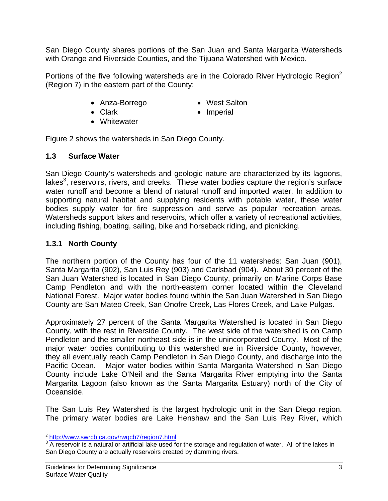San Diego County shares portions of the San Juan and Santa Margarita Watersheds with Orange and Riverside Counties, and the Tijuana Watershed with Mexico.

Portions of the five following watersheds are in the Colorado River Hydrologic Region<sup>2</sup> (Region 7) in the eastern part of the County:

- Anza-Borrego West Salton
	-
- 
- Clark Imperial
- Whitewater

Figure 2 shows the watersheds in San Diego County.

### **1.3 Surface Water**

San Diego County's watersheds and geologic nature are characterized by its lagoons, lakes<sup>3</sup>, reservoirs, rivers, and creeks. These water bodies capture the region's surface water runoff and become a blend of natural runoff and imported water. In addition to supporting natural habitat and supplying residents with potable water, these water bodies supply water for fire suppression and serve as popular recreation areas. Watersheds support lakes and reservoirs, which offer a variety of recreational activities, including fishing, boating, sailing, bike and horseback riding, and picnicking.

### **1.3.1 North County**

The northern portion of the County has four of the 11 watersheds: San Juan (901), Santa Margarita (902), San Luis Rey (903) and Carlsbad (904). About 30 percent of the San Juan Watershed is located in San Diego County, primarily on Marine Corps Base Camp Pendleton and with the north-eastern corner located within the Cleveland National Forest. Major water bodies found within the San Juan Watershed in San Diego County are San Mateo Creek, San Onofre Creek, Las Flores Creek, and Lake Pulgas.

Approximately 27 percent of the Santa Margarita Watershed is located in San Diego County, with the rest in Riverside County. The west side of the watershed is on Camp Pendleton and the smaller northeast side is in the unincorporated County. Most of the major water bodies contributing to this watershed are in Riverside County, however, they all eventually reach Camp Pendleton in San Diego County, and discharge into the Pacific Ocean. Major water bodies within Santa Margarita Watershed in San Diego County include Lake O'Neil and the Santa Margarita River emptying into the Santa Margarita Lagoon (also known as the Santa Margarita Estuary) north of the City of Oceanside.

The San Luis Rey Watershed is the largest hydrologic unit in the San Diego region. The primary water bodies are Lake Henshaw and the San Luis Rey River, which

 $\overline{a}$ <sup>2</sup> http://www.swrcb.ca.gov/rwqcb7/region7.html

 $3\overline{A}$  reservoir is a natural or artificial lake used for the storage and regulation of water. All of the lakes in San Diego County are actually reservoirs created by damming rivers.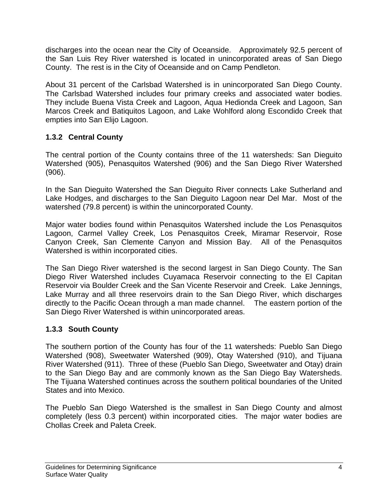discharges into the ocean near the City of Oceanside. Approximately 92.5 percent of the San Luis Rey River watershed is located in unincorporated areas of San Diego County. The rest is in the City of Oceanside and on Camp Pendleton.

About 31 percent of the Carlsbad Watershed is in unincorporated San Diego County. The Carlsbad Watershed includes four primary creeks and associated water bodies. They include Buena Vista Creek and Lagoon, Aqua Hedionda Creek and Lagoon, San Marcos Creek and Batiquitos Lagoon, and Lake Wohlford along Escondido Creek that empties into San Elijo Lagoon.

# **1.3.2 Central County**

The central portion of the County contains three of the 11 watersheds: San Dieguito Watershed (905), Penasquitos Watershed (906) and the San Diego River Watershed (906).

In the San Dieguito Watershed the San Dieguito River connects Lake Sutherland and Lake Hodges, and discharges to the San Dieguito Lagoon near Del Mar. Most of the watershed (79.8 percent) is within the unincorporated County.

Major water bodies found within Penasquitos Watershed include the Los Penasquitos Lagoon, Carmel Valley Creek, Los Penasquitos Creek, Miramar Reservoir, Rose Canyon Creek, San Clemente Canyon and Mission Bay. All of the Penasquitos Watershed is within incorporated cities.

The San Diego River watershed is the second largest in San Diego County. The San Diego River Watershed includes Cuyamaca Reservoir connecting to the El Capitan Reservoir via Boulder Creek and the San Vicente Reservoir and Creek. Lake Jennings, Lake Murray and all three reservoirs drain to the San Diego River, which discharges directly to the Pacific Ocean through a man made channel. The eastern portion of the San Diego River Watershed is within unincorporated areas.

# **1.3.3 South County**

The southern portion of the County has four of the 11 watersheds: Pueblo San Diego Watershed (908), Sweetwater Watershed (909), Otay Watershed (910), and Tijuana River Watershed (911). Three of these (Pueblo San Diego, Sweetwater and Otay) drain to the San Diego Bay and are commonly known as the San Diego Bay Watersheds. The Tijuana Watershed continues across the southern political boundaries of the United States and into Mexico.

The Pueblo San Diego Watershed is the smallest in San Diego County and almost completely (less 0.3 percent) within incorporated cities. The major water bodies are Chollas Creek and Paleta Creek.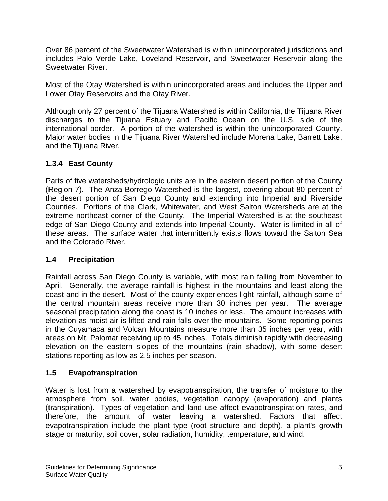Over 86 percent of the Sweetwater Watershed is within unincorporated jurisdictions and includes Palo Verde Lake, Loveland Reservoir, and Sweetwater Reservoir along the Sweetwater River.

Most of the Otay Watershed is within unincorporated areas and includes the Upper and Lower Otay Reservoirs and the Otay River.

Although only 27 percent of the Tijuana Watershed is within California, the Tijuana River discharges to the Tijuana Estuary and Pacific Ocean on the U.S. side of the international border. A portion of the watershed is within the unincorporated County. Major water bodies in the Tijuana River Watershed include Morena Lake, Barrett Lake, and the Tijuana River.

# **1.3.4 East County**

Parts of five watersheds/hydrologic units are in the eastern desert portion of the County (Region 7). The Anza-Borrego Watershed is the largest, covering about 80 percent of the desert portion of San Diego County and extending into Imperial and Riverside Counties. Portions of the Clark, Whitewater, and West Salton Watersheds are at the extreme northeast corner of the County. The Imperial Watershed is at the southeast edge of San Diego County and extends into Imperial County. Water is limited in all of these areas. The surface water that intermittently exists flows toward the Salton Sea and the Colorado River.

# **1.4 Precipitation**

Rainfall across San Diego County is variable, with most rain falling from November to April. Generally, the average rainfall is highest in the mountains and least along the coast and in the desert. Most of the county experiences light rainfall, although some of the central mountain areas receive more than 30 inches per year. The average seasonal precipitation along the coast is 10 inches or less. The amount increases with elevation as moist air is lifted and rain falls over the mountains. Some reporting points in the Cuyamaca and Volcan Mountains measure more than 35 inches per year, with areas on Mt. Palomar receiving up to 45 inches. Totals diminish rapidly with decreasing elevation on the eastern slopes of the mountains (rain shadow), with some desert stations reporting as low as 2.5 inches per season.

# **1.5 Evapotranspiration**

Water is lost from a watershed by evapotranspiration, the transfer of moisture to the atmosphere from soil, water bodies, vegetation canopy (evaporation) and plants (transpiration). Types of vegetation and land use affect evapotranspiration rates, and therefore, the amount of water leaving a watershed. Factors that affect evapotranspiration include the plant type (root structure and depth), a plant's growth stage or maturity, soil cover, solar radiation, humidity, temperature, and wind.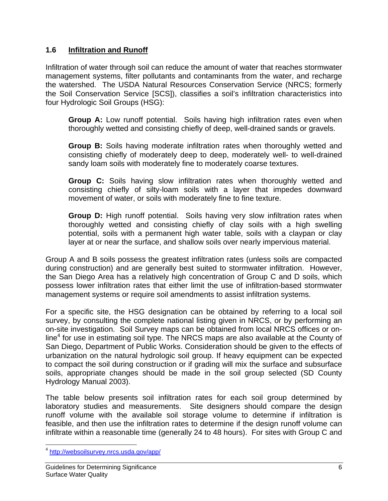## **1.6 Infiltration and Runoff**

Infiltration of water through soil can reduce the amount of water that reaches stormwater management systems, filter pollutants and contaminants from the water, and recharge the watershed. The USDA Natural Resources Conservation Service (NRCS; formerly the Soil Conservation Service [SCS]), classifies a soil's infiltration characteristics into four Hydrologic Soil Groups (HSG):

**Group A:** Low runoff potential. Soils having high infiltration rates even when thoroughly wetted and consisting chiefly of deep, well-drained sands or gravels.

**Group B:** Soils having moderate infiltration rates when thoroughly wetted and consisting chiefly of moderately deep to deep, moderately well- to well-drained sandy loam soils with moderately fine to moderately coarse textures.

**Group C:** Soils having slow infiltration rates when thoroughly wetted and consisting chiefly of silty-loam soils with a layer that impedes downward movement of water, or soils with moderately fine to fine texture.

**Group D:** High runoff potential. Soils having very slow infiltration rates when thoroughly wetted and consisting chiefly of clay soils with a high swelling potential, soils with a permanent high water table, soils with a claypan or clay layer at or near the surface, and shallow soils over nearly impervious material.

Group A and B soils possess the greatest infiltration rates (unless soils are compacted during construction) and are generally best suited to stormwater infiltration. However, the San Diego Area has a relatively high concentration of Group C and D soils, which possess lower infiltration rates that either limit the use of infiltration-based stormwater management systems or require soil amendments to assist infiltration systems.

For a specific site, the HSG designation can be obtained by referring to a local soil survey, by consulting the complete national listing given in NRCS, or by performing an on-site investigation. Soil Survey maps can be obtained from local NRCS offices or online<sup>4</sup> for use in estimating soil type. The NRCS maps are also available at the County of San Diego, Department of Public Works. Consideration should be given to the effects of urbanization on the natural hydrologic soil group. If heavy equipment can be expected to compact the soil during construction or if grading will mix the surface and subsurface soils, appropriate changes should be made in the soil group selected (SD County Hydrology Manual 2003).

The table below presents soil infiltration rates for each soil group determined by laboratory studies and measurements. Site designers should compare the design runoff volume with the available soil storage volume to determine if infiltration is feasible, and then use the infiltration rates to determine if the design runoff volume can infiltrate within a reasonable time (generally 24 to 48 hours). For sites with Group C and

 $\overline{a}$ <sup>4</sup> http://websoilsurvey.nrcs.usda.gov/app/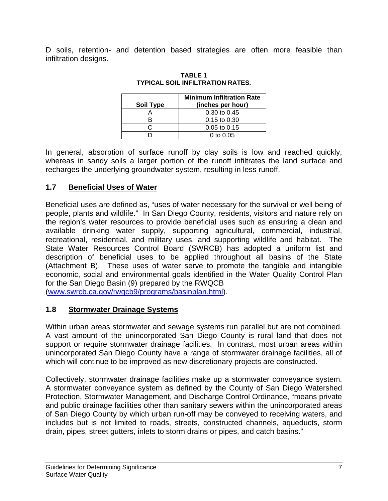D soils, retention- and detention based strategies are often more feasible than infiltration designs.

| Soil Type | <b>Minimum Infiltration Rate</b><br>(inches per hour) |
|-----------|-------------------------------------------------------|
|           | $0.30 \text{ to } 0.45$                               |
|           | $0.15$ to $0.30$                                      |
|           | $0.05$ to $0.15$                                      |
|           | 0 to $0.05$                                           |

**TABLE 1 TYPICAL SOIL INFILTRATION RATES.** 

In general, absorption of surface runoff by clay soils is low and reached quickly, whereas in sandy soils a larger portion of the runoff infiltrates the land surface and recharges the underlying groundwater system, resulting in less runoff.

## **1.7 Beneficial Uses of Water**

Beneficial uses are defined as, "uses of water necessary for the survival or well being of people, plants and wildlife." In San Diego County, residents, visitors and nature rely on the region's water resources to provide beneficial uses such as ensuring a clean and available drinking water supply, supporting agricultural, commercial, industrial, recreational, residential, and military uses, and supporting wildlife and habitat. The State Water Resources Control Board (SWRCB) has adopted a uniform list and description of beneficial uses to be applied throughout all basins of the State (Attachment B). These uses of water serve to promote the tangible and intangible economic, social and environmental goals identified in the Water Quality Control Plan for the San Diego Basin (9) prepared by the RWQCB

(www.swrcb.ca.gov/rwqcb9/programs/basinplan.html).

# **1.8 Stormwater Drainage Systems**

Within urban areas stormwater and sewage systems run parallel but are not combined. A vast amount of the unincorporated San Diego County is rural land that does not support or require stormwater drainage facilities. In contrast, most urban areas within unincorporated San Diego County have a range of stormwater drainage facilities, all of which will continue to be improved as new discretionary projects are constructed.

Collectively, stormwater drainage facilities make up a stormwater conveyance system. A stormwater conveyance system as defined by the County of San Diego Watershed Protection, Stormwater Management, and Discharge Control Ordinance, "means private and public drainage facilities other than sanitary sewers within the unincorporated areas of San Diego County by which urban run-off may be conveyed to receiving waters, and includes but is not limited to roads, streets, constructed channels, aqueducts, storm drain, pipes, street gutters, inlets to storm drains or pipes, and catch basins."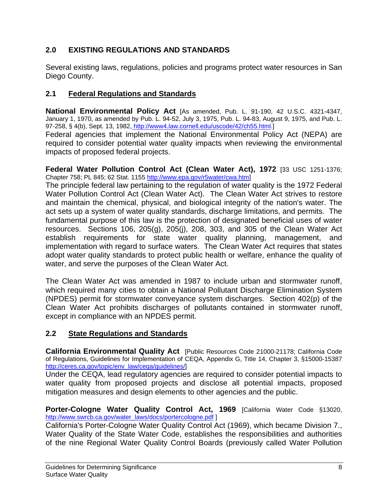# **2.0 EXISTING REGULATIONS AND STANDARDS**

Several existing laws, regulations, policies and programs protect water resources in San Diego County.

# **2.1 Federal Regulations and Standards**

**National Environmental Policy Act** [As amended, Pub. L. 91-190, 42 U.S.C. 4321-4347, January 1, 1970, as amended by Pub. L. 94-52, July 3, 1975, Pub. L. 94-83, August 9, 1975, and Pub. L. 97-258, § 4(b), Sept. 13, 1982, http://www4.law.cornell.edu/uscode/42/ch55.html.]

Federal agencies that implement the National Environmental Policy Act (NEPA) are required to consider potential water quality impacts when reviewing the environmental impacts of proposed federal projects.

**Federal Water Pollution Control Act (Clean Water Act), 1972** [33 USC 1251-1376; Chapter 758; PL 845; 62 Stat. 1155 http://www.epa.gov/r5water/cwa.htm]

The principle federal law pertaining to the regulation of water quality is the 1972 Federal Water Pollution Control Act (Clean Water Act). The Clean Water Act strives to restore and maintain the chemical, physical, and biological integrity of the nation's water. The act sets up a system of water quality standards, discharge limitations, and permits. The fundamental purpose of this law is the protection of designated beneficial uses of water resources. Sections 106, 205(g), 205(j), 208, 303, and 305 of the Clean Water Act establish requirements for state water quality planning, management, and implementation with regard to surface waters. The Clean Water Act requires that states adopt water quality standards to protect public health or welfare, enhance the quality of water, and serve the purposes of the Clean Water Act.

The Clean Water Act was amended in 1987 to include urban and stormwater runoff, which required many cities to obtain a National Pollutant Discharge Elimination System (NPDES) permit for stormwater conveyance system discharges. Section 402(p) of the Clean Water Act prohibits discharges of pollutants contained in stormwater runoff, except in compliance with an NPDES permit.

# **2.2 State Regulations and Standards**

**California Environmental Quality Act** [Public Resources Code 21000-21178; California Code of Regulations, Guidelines for Implementation of CEQA, Appendix G, Title 14, Chapter 3, §15000-15387 http://ceres.ca.gov/topic/env\_law/ceqa/guidelines/]

Under the CEQA, lead regulatory agencies are required to consider potential impacts to water quality from proposed projects and disclose all potential impacts, proposed mitigation measures and design elements to other agencies and the public.

**Porter-Cologne Water Quality Control Act, 1969** [California Water Code §13020, http://www.swrcb.ca.gov/water\_laws/docs/portercologne.pdf ]

California's Porter-Cologne Water Quality Control Act (1969), which became Division 7., Water Quality of the State Water Code, establishes the responsibilities and authorities of the nine Regional Water Quality Control Boards (previously called Water Pollution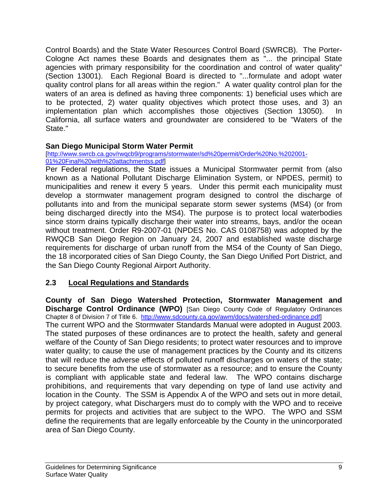Control Boards) and the State Water Resources Control Board (SWRCB). The Porter-Cologne Act names these Boards and designates them as "... the principal State agencies with primary responsibility for the coordination and control of water quality" (Section 13001). Each Regional Board is directed to "...formulate and adopt water quality control plans for all areas within the region." A water quality control plan for the waters of an area is defined as having three components: 1) beneficial uses which are to be protected, 2) water quality objectives which protect those uses, and 3) an implementation plan which accomplishes those objectives (Section 13050). In California, all surface waters and groundwater are considered to be "Waters of the State."

## **San Diego Municipal Storm Water Permit**

[http://www.swrcb.ca.gov/rwqcb9/programs/stormwater/sd%20permit/Order%20No.%202001- 01%20Final%20with%20attachmentss.pdf]

Per Federal regulations, the State issues a Municipal Stormwater permit from (also known as a National Pollutant Discharge Elimination System, or NPDES, permit) to municipalities and renew it every 5 years. Under this permit each municipality must develop a stormwater management program designed to control the discharge of pollutants into and from the municipal separate storm sewer systems (MS4) (or from being discharged directly into the MS4). The purpose is to protect local waterbodies since storm drains typically discharge their water into streams, bays, and/or the ocean without treatment. Order R9-2007-01 (NPDES No. CAS 0108758) was adopted by the RWQCB San Diego Region on January 24, 2007 and established waste discharge requirements for discharge of urban runoff from the MS4 of the County of San Diego, the 18 incorporated cities of San Diego County, the San Diego Unified Port District, and the San Diego County Regional Airport Authority.

# **2.3 Local Regulations and Standards**

**County of San Diego Watershed Protection, Stormwater Management and Discharge Control Ordinance (WPO)** [San Diego County Code of Regulatory Ordinances Chapter 8 of Division 7 of Title 6. http://www.sdcounty.ca.gov/awm/docs/watershed-ordinance.pdf] The current WPO and the Stormwater Standards Manual were adopted in August 2003. The stated purposes of these ordinances are to protect the health, safety and general welfare of the County of San Diego residents; to protect water resources and to improve water quality; to cause the use of management practices by the County and its citizens that will reduce the adverse effects of polluted runoff discharges on waters of the state; to secure benefits from the use of stormwater as a resource; and to ensure the County is compliant with applicable state and federal law. The WPO contains discharge prohibitions, and requirements that vary depending on type of land use activity and location in the County. The SSM is Appendix A of the WPO and sets out in more detail, by project category, what Dischargers must do to comply with the WPO and to receive permits for projects and activities that are subject to the WPO. The WPO and SSM define the requirements that are legally enforceable by the County in the unincorporated area of San Diego County.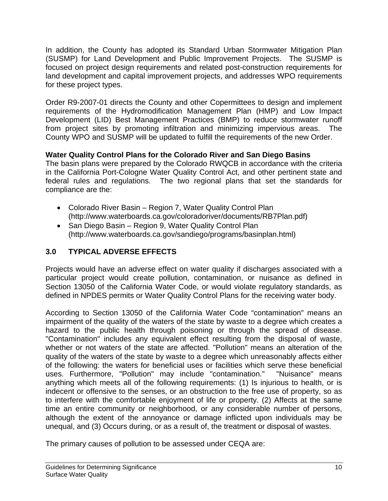In addition, the County has adopted its Standard Urban Stormwater Mitigation Plan (SUSMP) for Land Development and Public Improvement Projects. The SUSMP is focused on project design requirements and related post-construction requirements for land development and capital improvement projects, and addresses WPO requirements for these project types.

Order R9-2007-01 directs the County and other Copermittees to design and implement requirements of the Hydromodification Management Plan (HMP) and Low Impact Development (LID) Best Management Practices (BMP) to reduce stormwater runoff from project sites by promoting infiltration and minimizing impervious areas. The County WPO and SUSMP will be updated to fulfill the requirements of the new Order.

# **Water Quality Control Plans for the Colorado River and San Diego Basins**

The basin plans were prepared by the Colorado RWQCB in accordance with the criteria in the California Port-Cologne Water Quality Control Act, and other pertinent state and federal rules and regulations. The two regional plans that set the standards for compliance are the:

- Colorado River Basin Region 7, Water Quality Control Plan (http://www.waterboards.ca.gov/coloradoriver/documents/RB7Plan.pdf)
- San Diego Basin Region 9, Water Quality Control Plan (http://www.waterboards.ca.gov/sandiego/programs/basinplan.html)

# **3.0 TYPICAL ADVERSE EFFECTS**

Projects would have an adverse effect on water quality if discharges associated with a particular project would create pollution, contamination, or nuisance as defined in Section 13050 of the California Water Code, or would violate regulatory standards, as defined in NPDES permits or Water Quality Control Plans for the receiving water body.

According to Section 13050 of the California Water Code "contamination" means an impairment of the quality of the waters of the state by waste to a degree which creates a hazard to the public health through poisoning or through the spread of disease. "Contamination" includes any equivalent effect resulting from the disposal of waste, whether or not waters of the state are affected. "Pollution" means an alteration of the quality of the waters of the state by waste to a degree which unreasonably affects either of the following: the waters for beneficial uses or facilities which serve these beneficial uses. Furthermore, "Pollution" may include "contamination." "Nuisance" means anything which meets all of the following requirements: (1) Is injurious to health, or is indecent or offensive to the senses, or an obstruction to the free use of property, so as to interfere with the comfortable enjoyment of life or property. (2) Affects at the same time an entire community or neighborhood, or any considerable number of persons, although the extent of the annoyance or damage inflicted upon individuals may be unequal, and (3) Occurs during, or as a result of, the treatment or disposal of wastes.

The primary causes of pollution to be assessed under CEQA are: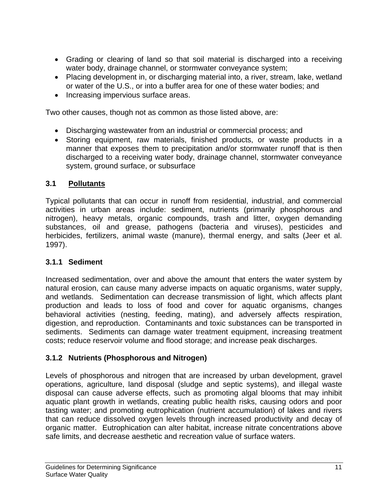- Grading or clearing of land so that soil material is discharged into a receiving water body, drainage channel, or stormwater conveyance system;
- Placing development in, or discharging material into, a river, stream, lake, wetland or water of the U.S., or into a buffer area for one of these water bodies; and
- Increasing impervious surface areas.

Two other causes, though not as common as those listed above, are:

- Discharging wastewater from an industrial or commercial process; and
- Storing equipment, raw materials, finished products, or waste products in a manner that exposes them to precipitation and/or stormwater runoff that is then discharged to a receiving water body, drainage channel, stormwater conveyance system, ground surface, or subsurface

# **3.1 Pollutants**

Typical pollutants that can occur in runoff from residential, industrial, and commercial activities in urban areas include: sediment, nutrients (primarily phosphorous and nitrogen), heavy metals, organic compounds, trash and litter, oxygen demanding substances, oil and grease, pathogens (bacteria and viruses), pesticides and herbicides, fertilizers, animal waste (manure), thermal energy, and salts (Jeer et al. 1997).

# **3.1.1 Sediment**

Increased sedimentation, over and above the amount that enters the water system by natural erosion, can cause many adverse impacts on aquatic organisms, water supply, and wetlands. Sedimentation can decrease transmission of light, which affects plant production and leads to loss of food and cover for aquatic organisms, changes behavioral activities (nesting, feeding, mating), and adversely affects respiration, digestion, and reproduction. Contaminants and toxic substances can be transported in sediments. Sediments can damage water treatment equipment, increasing treatment costs; reduce reservoir volume and flood storage; and increase peak discharges.

# **3.1.2 Nutrients (Phosphorous and Nitrogen)**

Levels of phosphorous and nitrogen that are increased by urban development, gravel operations, agriculture, land disposal (sludge and septic systems), and illegal waste disposal can cause adverse effects, such as promoting algal blooms that may inhibit aquatic plant growth in wetlands, creating public health risks, causing odors and poor tasting water; and promoting eutrophication (nutrient accumulation) of lakes and rivers that can reduce dissolved oxygen levels through increased productivity and decay of organic matter. Eutrophication can alter habitat, increase nitrate concentrations above safe limits, and decrease aesthetic and recreation value of surface waters.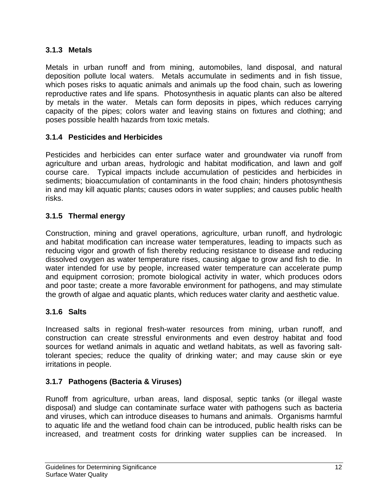# **3.1.3 Metals**

Metals in urban runoff and from mining, automobiles, land disposal, and natural deposition pollute local waters. Metals accumulate in sediments and in fish tissue, which poses risks to aquatic animals and animals up the food chain, such as lowering reproductive rates and life spans. Photosynthesis in aquatic plants can also be altered by metals in the water. Metals can form deposits in pipes, which reduces carrying capacity of the pipes; colors water and leaving stains on fixtures and clothing; and poses possible health hazards from toxic metals.

## **3.1.4 Pesticides and Herbicides**

Pesticides and herbicides can enter surface water and groundwater via runoff from agriculture and urban areas, hydrologic and habitat modification, and lawn and golf course care. Typical impacts include accumulation of pesticides and herbicides in sediments; bioaccumulation of contaminants in the food chain; hinders photosynthesis in and may kill aquatic plants; causes odors in water supplies; and causes public health risks.

# **3.1.5 Thermal energy**

Construction, mining and gravel operations, agriculture, urban runoff, and hydrologic and habitat modification can increase water temperatures, leading to impacts such as reducing vigor and growth of fish thereby reducing resistance to disease and reducing dissolved oxygen as water temperature rises, causing algae to grow and fish to die. In water intended for use by people, increased water temperature can accelerate pump and equipment corrosion; promote biological activity in water, which produces odors and poor taste; create a more favorable environment for pathogens, and may stimulate the growth of algae and aquatic plants, which reduces water clarity and aesthetic value.

# **3.1.6 Salts**

Increased salts in regional fresh-water resources from mining, urban runoff, and construction can create stressful environments and even destroy habitat and food sources for wetland animals in aquatic and wetland habitats, as well as favoring salttolerant species; reduce the quality of drinking water; and may cause skin or eye irritations in people.

# **3.1.7 Pathogens (Bacteria & Viruses)**

Runoff from agriculture, urban areas, land disposal, septic tanks (or illegal waste disposal) and sludge can contaminate surface water with pathogens such as bacteria and viruses, which can introduce diseases to humans and animals. Organisms harmful to aquatic life and the wetland food chain can be introduced, public health risks can be increased, and treatment costs for drinking water supplies can be increased. In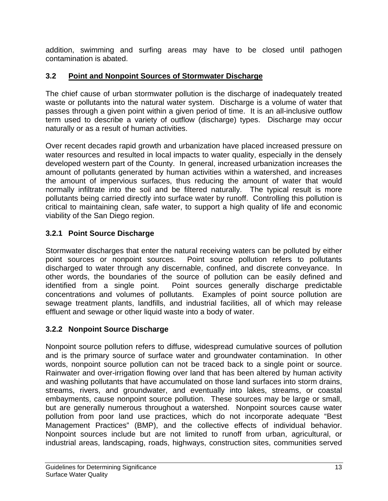addition, swimming and surfing areas may have to be closed until pathogen contamination is abated.

# **3.2 Point and Nonpoint Sources of Stormwater Discharge**

The chief cause of urban stormwater pollution is the discharge of inadequately treated waste or pollutants into the natural water system. Discharge is a volume of water that passes through a given point within a given period of time. It is an all-inclusive outflow term used to describe a variety of outflow (discharge) types. Discharge may occur naturally or as a result of human activities.

Over recent decades rapid growth and urbanization have placed increased pressure on water resources and resulted in local impacts to water quality, especially in the densely developed western part of the County. In general, increased urbanization increases the amount of pollutants generated by human activities within a watershed, and increases the amount of impervious surfaces, thus reducing the amount of water that would normally infiltrate into the soil and be filtered naturally. The typical result is more pollutants being carried directly into surface water by runoff. Controlling this pollution is critical to maintaining clean, safe water, to support a high quality of life and economic viability of the San Diego region.

# **3.2.1 Point Source Discharge**

Stormwater discharges that enter the natural receiving waters can be polluted by either point sources or nonpoint sources. Point source pollution refers to pollutants discharged to water through any discernable, confined, and discrete conveyance. In other words, the boundaries of the source of pollution can be easily defined and identified from a single point. Point sources generally discharge predictable concentrations and volumes of pollutants. Examples of point source pollution are sewage treatment plants, landfills, and industrial facilities, all of which may release effluent and sewage or other liquid waste into a body of water.

# **3.2.2 Nonpoint Source Discharge**

Nonpoint source pollution refers to diffuse, widespread cumulative sources of pollution and is the primary source of surface water and groundwater contamination. In other words, nonpoint source pollution can not be traced back to a single point or source. Rainwater and over-irrigation flowing over land that has been altered by human activity and washing pollutants that have accumulated on those land surfaces into storm drains, streams, rivers, and groundwater, and eventually into lakes, streams, or coastal embayments, cause nonpoint source pollution. These sources may be large or small, but are generally numerous throughout a watershed. Nonpoint sources cause water pollution from poor land use practices, which do not incorporate adequate "Best Management Practices" (BMP), and the collective effects of individual behavior. Nonpoint sources include but are not limited to runoff from urban, agricultural, or industrial areas, landscaping, roads, highways, construction sites, communities served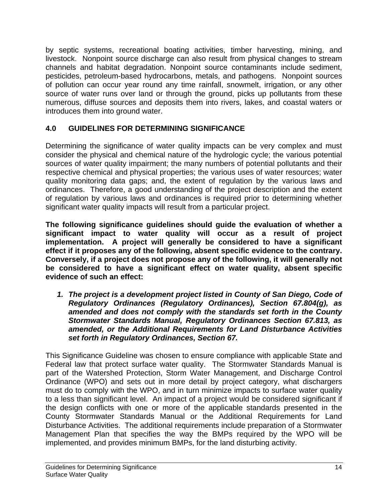by septic systems, recreational boating activities, timber harvesting, mining, and livestock. Nonpoint source discharge can also result from physical changes to stream channels and habitat degradation. Nonpoint source contaminants include sediment, pesticides, petroleum-based hydrocarbons, metals, and pathogens. Nonpoint sources of pollution can occur year round any time rainfall, snowmelt, irrigation, or any other source of water runs over land or through the ground, picks up pollutants from these numerous, diffuse sources and deposits them into rivers, lakes, and coastal waters or introduces them into ground water.

# **4.0 GUIDELINES FOR DETERMINING SIGNIFICANCE**

Determining the significance of water quality impacts can be very complex and must consider the physical and chemical nature of the hydrologic cycle; the various potential sources of water quality impairment; the many numbers of potential pollutants and their respective chemical and physical properties; the various uses of water resources; water quality monitoring data gaps; and, the extent of regulation by the various laws and ordinances. Therefore, a good understanding of the project description and the extent of regulation by various laws and ordinances is required prior to determining whether significant water quality impacts will result from a particular project.

**The following significance guidelines should guide the evaluation of whether a significant impact to water quality will occur as a result of project implementation. A project will generally be considered to have a significant effect if it proposes any of the following, absent specific evidence to the contrary. Conversely, if a project does not propose any of the following, it will generally not be considered to have a significant effect on water quality, absent specific evidence of such an effect:** 

*1. The project is a development project listed in County of San Diego, Code of Regulatory Ordinances (Regulatory Ordinances), Section 67.804(g), as amended and does not comply with the standards set forth in the County Stormwater Standards Manual, Regulatory Ordinances Section 67.813, as amended, or the Additional Requirements for Land Disturbance Activities set forth in Regulatory Ordinances, Section 67.* 

This Significance Guideline was chosen to ensure compliance with applicable State and Federal law that protect surface water quality. The Stormwater Standards Manual is part of the Watershed Protection, Storm Water Management, and Discharge Control Ordinance (WPO) and sets out in more detail by project category, what dischargers must do to comply with the WPO, and in turn minimize impacts to surface water quality to a less than significant level. An impact of a project would be considered significant if the design conflicts with one or more of the applicable standards presented in the County Stormwater Standards Manual or the Additional Requirements for Land Disturbance Activities. The additional requirements include preparation of a Stormwater Management Plan that specifies the way the BMPs required by the WPO will be implemented, and provides minimum BMPs, for the land disturbing activity.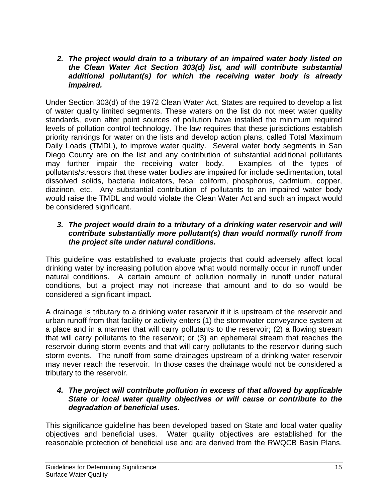#### *2. The project would drain to a tributary of an impaired water body listed on the Clean Water Act Section 303(d) list, and will contribute substantial additional pollutant(s) for which the receiving water body is already impaired.*

Under Section 303(d) of the 1972 Clean Water Act, States are required to develop a list of water quality limited segments. These waters on the list do not meet water quality standards, even after point sources of pollution have installed the minimum required levels of pollution control technology. The law requires that these jurisdictions establish priority rankings for water on the lists and develop action plans, called Total Maximum Daily Loads (TMDL), to improve water quality. Several water body segments in San Diego County are on the list and any contribution of substantial additional pollutants may further impair the receiving water body. Examples of the types of pollutants/stressors that these water bodies are impaired for include sedimentation, total dissolved solids, bacteria indicators, fecal coliform, phosphorus, cadmium, copper, diazinon, etc. Any substantial contribution of pollutants to an impaired water body would raise the TMDL and would violate the Clean Water Act and such an impact would be considered significant.

### *3. The project would drain to a tributary of a drinking water reservoir and will contribute substantially more pollutant(s) than would normally runoff from the project site under natural conditions.*

This guideline was established to evaluate projects that could adversely affect local drinking water by increasing pollution above what would normally occur in runoff under natural conditions. A certain amount of pollution normally in runoff under natural conditions, but a project may not increase that amount and to do so would be considered a significant impact.

A drainage is tributary to a drinking water reservoir if it is upstream of the reservoir and urban runoff from that facility or activity enters (1) the stormwater conveyance system at a place and in a manner that will carry pollutants to the reservoir; (2) a flowing stream that will carry pollutants to the reservoir; or (3) an ephemeral stream that reaches the reservoir during storm events and that will carry pollutants to the reservoir during such storm events. The runoff from some drainages upstream of a drinking water reservoir may never reach the reservoir. In those cases the drainage would not be considered a tributary to the reservoir.

#### *4. The project will contribute pollution in excess of that allowed by applicable State or local water quality objectives or will cause or contribute to the degradation of beneficial uses.*

This significance guideline has been developed based on State and local water quality objectives and beneficial uses. Water quality objectives are established for the reasonable protection of beneficial use and are derived from the RWQCB Basin Plans.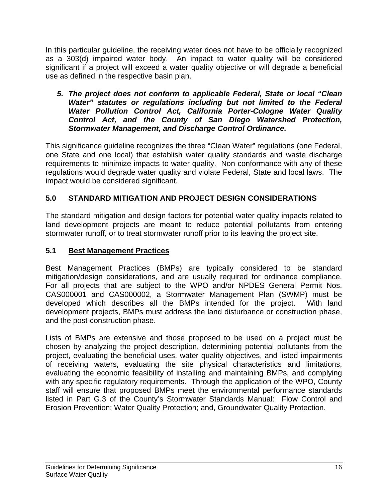In this particular guideline, the receiving water does not have to be officially recognized as a 303(d) impaired water body. An impact to water quality will be considered significant if a project will exceed a water quality objective or will degrade a beneficial use as defined in the respective basin plan.

*5. The project does not conform to applicable Federal, State or local "Clean Water" statutes or regulations including but not limited to the Federal Water Pollution Control Act, California Porter-Cologne Water Quality Control Act, and the County of San Diego Watershed Protection, Stormwater Management, and Discharge Control Ordinance.* 

This significance guideline recognizes the three "Clean Water" regulations (one Federal, one State and one local) that establish water quality standards and waste discharge requirements to minimize impacts to water quality. Non-conformance with any of these regulations would degrade water quality and violate Federal, State and local laws. The impact would be considered significant.

# **5.0 STANDARD MITIGATION AND PROJECT DESIGN CONSIDERATIONS**

The standard mitigation and design factors for potential water quality impacts related to land development projects are meant to reduce potential pollutants from entering stormwater runoff, or to treat stormwater runoff prior to its leaving the project site.

# **5.1 Best Management Practices**

Best Management Practices (BMPs) are typically considered to be standard mitigation/design considerations, and are usually required for ordinance compliance. For all projects that are subject to the WPO and/or NPDES General Permit Nos. CAS000001 and CAS000002, a Stormwater Management Plan (SWMP) must be developed which describes all the BMPs intended for the project. With land development projects, BMPs must address the land disturbance or construction phase, and the post-construction phase.

Lists of BMPs are extensive and those proposed to be used on a project must be chosen by analyzing the project description, determining potential pollutants from the project, evaluating the beneficial uses, water quality objectives, and listed impairments of receiving waters, evaluating the site physical characteristics and limitations, evaluating the economic feasibility of installing and maintaining BMPs, and complying with any specific regulatory requirements. Through the application of the WPO, County staff will ensure that proposed BMPs meet the environmental performance standards listed in Part G.3 of the County's Stormwater Standards Manual: Flow Control and Erosion Prevention; Water Quality Protection; and, Groundwater Quality Protection.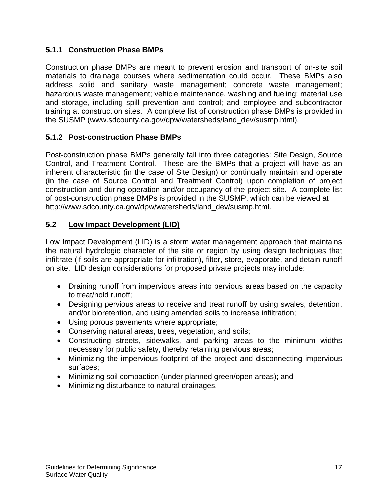# **5.1.1 Construction Phase BMPs**

Construction phase BMPs are meant to prevent erosion and transport of on-site soil materials to drainage courses where sedimentation could occur. These BMPs also address solid and sanitary waste management; concrete waste management; hazardous waste management; vehicle maintenance, washing and fueling; material use and storage, including spill prevention and control; and employee and subcontractor training at construction sites. A complete list of construction phase BMPs is provided in the SUSMP (www.sdcounty.ca.gov/dpw/watersheds/land\_dev/susmp.html).

## **5.1.2 Post-construction Phase BMPs**

Post-construction phase BMPs generally fall into three categories: Site Design, Source Control, and Treatment Control. These are the BMPs that a project will have as an inherent characteristic (in the case of Site Design) or continually maintain and operate (in the case of Source Control and Treatment Control) upon completion of project construction and during operation and/or occupancy of the project site. A complete list of post-construction phase BMPs is provided in the SUSMP, which can be viewed at http://www.sdcounty.ca.gov/dpw/watersheds/land\_dev/susmp.html.

## **5.2 Low Impact Development (LID)**

Low Impact Development (LID) is a storm water management approach that maintains the natural hydrologic character of the site or region by using design techniques that infiltrate (if soils are appropriate for infiltration), filter, store, evaporate, and detain runoff on site. LID design considerations for proposed private projects may include:

- Draining runoff from impervious areas into pervious areas based on the capacity to treat/hold runoff;
- Designing pervious areas to receive and treat runoff by using swales, detention, and/or bioretention, and using amended soils to increase infiltration;
- Using porous pavements where appropriate;
- Conserving natural areas, trees, vegetation, and soils;
- Constructing streets, sidewalks, and parking areas to the minimum widths necessary for public safety, thereby retaining pervious areas;
- Minimizing the impervious footprint of the project and disconnecting impervious surfaces;
- Minimizing soil compaction (under planned green/open areas); and
- Minimizing disturbance to natural drainages.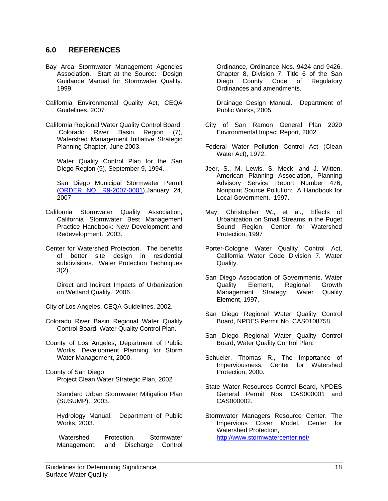#### **6.0 REFERENCES**

- Bay Area Stormwater Management Agencies Association. Start at the Source: Design Guidance Manual for Stormwater Quality. 1999.
- California Environmental Quality Act, CEQA Guidelines, 2007
- California Regional Water Quality Control Board Colorado River Basin Region (7), Watershed Management Initiative Strategic Planning Chapter, June 2003.

 Water Quality Control Plan for the San Diego Region (9), September 9, 1994.

 San Diego Municipal Stormwater Permit (ORDER NO. R9-2007-0001),January 24, 2007

- California Stormwater Quality Association, California Stormwater Best Management Practice Handbook: New Development and Redevelopment. 2003.
- Center for Watershed Protection. The benefits of better site design in residential subdivisions. Water Protection Techniques 3(2).

 Direct and Indirect Impacts of Urbanization on Wetland Quality. 2006.

City of Los Angeles, CEQA Guidelines, 2002.

- Colorado River Basin Regional Water Quality Control Board, Water Quality Control Plan.
- County of Los Angeles, Department of Public Works, Development Planning for Storm Water Management, 2000.

County of San Diego Project Clean Water Strategic Plan, 2002

 Standard Urban Stormwater Mitigation Plan (SUSUMP). 2003.

 Hydrology Manual. Department of Public Works, 2003.

 Watershed Protection, Stormwater Management, and Discharge Control Ordinance, Ordinance Nos. 9424 and 9426. Chapter 8, Division 7, Title 6 of the San Diego County Code of Regulatory Ordinances and amendments.

 Drainage Design Manual. Department of Public Works, 2005.

- City of San Ramon General Plan 2020 Environmental Impact Report, 2002.
- Federal Water Pollution Control Act (Clean Water Act), 1972.
- Jeer, S., M. Lewis, S. Meck, and J. Witten. American Planning Association, Planning Advisory Service Report Number 476, Nonpoint Source Pollution: A Handbook for Local Government. 1997.
- May, Christopher W., et al., Effects of Urbanization on Small Streams in the Puget Sound Region, Center for Watershed Protection, 1997
- Porter-Cologne Water Quality Control Act, California Water Code Division 7. Water Quality.
- San Diego Association of Governments, Water Quality Element, Regional Growth Management Strategy: Water Quality Element, 1997.
- San Diego Regional Water Quality Control Board, NPDES Permit No. CAS0108758.
- San Diego Regional Water Quality Control Board, Water Quality Control Plan.
- Schueler, Thomas R., The Importance of Imperviousness, Center for Watershed Protection, 2000.
- State Water Resources Control Board, NPDES General Permit Nos. CAS000001 and CAS000002.
- Stormwater Managers Resource Center, The Impervious Cover Model, Center for Watershed Protection, http://www.stormwatercenter.net/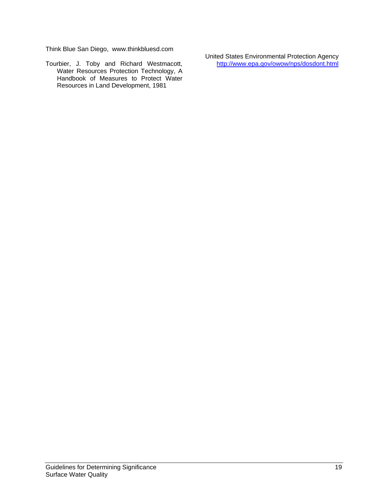Think Blue San Diego, www.thinkbluesd.com

Tourbier, J. Toby and Richard Westmacott, Water Resources Protection Technology, A Handbook of Measures to Protect Water Resources in Land Development, 1981

United States Environmental Protection Agency http://www.epa.gov/owow/nps/dosdont.html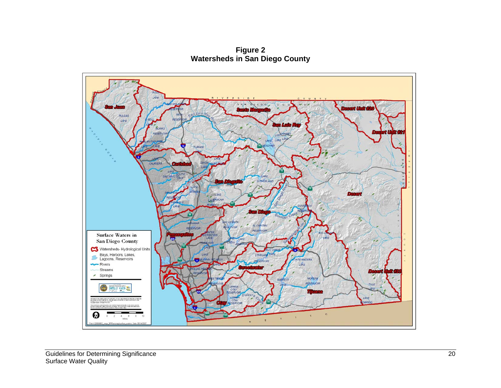**Figure 2 Watersheds in San Diego County** 

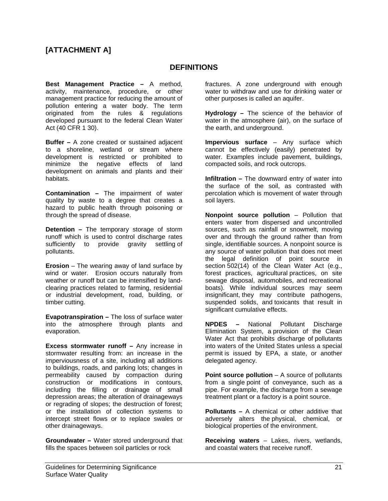# **[ATTACHMENT A]**

#### **DEFINITIONS**

**Best Management Practice –** A method, activity, maintenance, procedure, or other management practice for reducing the amount of pollution entering a water body. The term originated from the rules & regulations developed pursuant to the federal Clean Water Act (40 CFR 1 30).

**Buffer –** A zone created or sustained adjacent to a shoreline, wetland or stream where development is restricted or prohibited to minimize the negative effects of land development on animals and plants and their habitats.

**Contamination –** The impairment of water quality by waste to a degree that creates a hazard to public health through poisoning or through the spread of disease.

**Detention –** The temporary storage of storm runoff which is used to control discharge rates sufficiently to provide gravity settling of pollutants.

**Erosion** – The wearing away of land surface by wind or water. Erosion occurs naturally from weather or runoff but can be intensified by landclearing practices related to farming, residential or industrial development, road, building, or timber cutting.

**Evapotranspiration –** The loss of surface water into the atmosphere through plants and evaporation.

**Excess stormwater runoff –** Any increase in stormwater resulting from: an increase in the imperviousness of a site, including all additions to buildings, roads, and parking lots; changes in permeability caused by compaction during construction or modifications in contours, including the filling or drainage of small depression areas; the alteration of drainageways or regrading of slopes; the destruction of forest; or the installation of collection systems to intercept street flows or to replace swales or other drainageways.

**Groundwater –** Water stored underground that fills the spaces between soil particles or rock

fractures. A zone underground with enough water to withdraw and use for drinking water or other purposes is called an aquifer.

**Hydrology –** The science of the behavior of water in the atmosphere (air), on the surface of the earth, and underground.

**Impervious surface** – Any surface which cannot be effectively (easily) penetrated by water. Examples include pavement, buildings, compacted soils, and rock outcrops.

**Infiltration –** The downward entry of water into the surface of the soil, as contrasted with percolation which is movement of water through soil layers.

**Nonpoint source pollution** – Pollution that enters water from dispersed and uncontrolled sources, such as rainfall or snowmelt, moving over and through the ground rather than from single, identifiable sources. A nonpoint source is any source of water pollution that does not meet the legal definition of point source in section 502(14) of the Clean Water Act (e.g., forest practices, agricultural practices, on site sewage disposal, automobiles, and recreational boats). While individual sources may seem insignificant, they may contribute pathogens, suspended solids, and toxicants that result in significant cumulative effects.

**NPDES –** National Pollutant Discharge Elimination System, a provision of the Clean Water Act that prohibits discharge of pollutants into waters of the United States unless a special permit is issued by EPA, a state, or another delegated agency.

**Point source pollution** – A source of pollutants from a single point of conveyance, such as a pipe. For example, the discharge from a sewage treatment plant or a factory is a point source.

**Pollutants –** A chemical or other additive that adversely alters the physical, chemical, or biological properties of the environment.

**Receiving waters** – Lakes, rivers, wetlands, and coastal waters that receive runoff.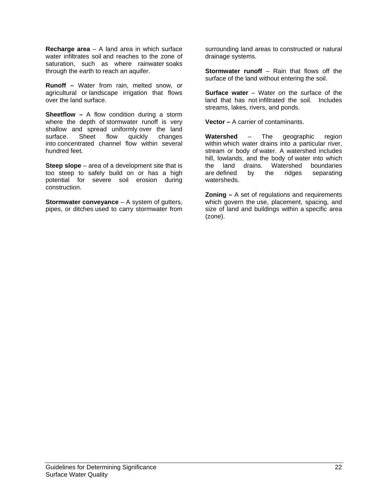**Recharge area** – A land area in which surface water infiltrates soil and reaches to the zone of saturation, such as where rainwater soaks through the earth to reach an aquifer.

**Runoff –** Water from rain, melted snow, or agricultural or landscape irrigation that flows over the land surface.

**Sheetflow –** A flow condition during a storm where the depth of stormwater runoff is very shallow and spread uniformly over the land<br>surface. Sheet flow quickly changes surface. Sheet flow quickly changes into concentrated channel flow within several hundred feet.

**Steep slope** – area of a development site that is too steep to safely build on or has a high potential for severe soil erosion during construction.

**Stormwater conveyance** – A system of gutters, pipes, or ditches used to carry stormwater from surrounding land areas to constructed or natural drainage systems.

**Stormwater runoff** – Rain that flows off the surface of the land without entering the soil.

**Surface water** – Water on the surface of the land that has not infiltrated the soil. Includes streams, lakes, rivers, and ponds.

**Vector –** A carrier of contaminants.

**Watershed** – The geographic region within which water drains into a particular river, stream or body of water. A watershed includes hill, lowlands, and the body of water into which the land drains. Watershed boundaries are defined by the ridges separating watersheds.

**Zoning –** A set of regulations and requirements which govern the use, placement, spacing, and size of land and buildings within a specific area (zone).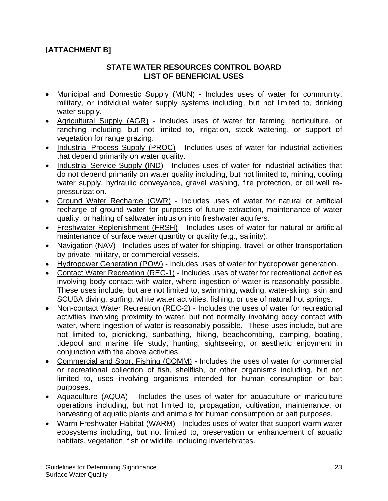# **[ATTACHMENT B]**

#### **STATE WATER RESOURCES CONTROL BOARD LIST OF BENEFICIAL USES**

- Municipal and Domestic Supply (MUN) Includes uses of water for community, military, or individual water supply systems including, but not limited to, drinking water supply.
- Agricultural Supply (AGR) Includes uses of water for farming, horticulture, or ranching including, but not limited to, irrigation, stock watering, or support of vegetation for range grazing.
- Industrial Process Supply (PROC) Includes uses of water for industrial activities that depend primarily on water quality.
- Industrial Service Supply (IND) Includes uses of water for industrial activities that do not depend primarily on water quality including, but not limited to, mining, cooling water supply, hydraulic conveyance, gravel washing, fire protection, or oil well repressurization.
- Ground Water Recharge (GWR) Includes uses of water for natural or artificial recharge of ground water for purposes of future extraction, maintenance of water quality, or halting of saltwater intrusion into freshwater aquifers.
- Freshwater Replenishment (FRSH) Includes uses of water for natural or artificial maintenance of surface water quantity or quality (e.g., salinity).
- Navigation (NAV) Includes uses of water for shipping, travel, or other transportation by private, military, or commercial vessels.
- Hydropower Generation (POW) Includes uses of water for hydropower generation.
- Contact Water Recreation (REC-1) Includes uses of water for recreational activities involving body contact with water, where ingestion of water is reasonably possible. These uses include, but are not limited to, swimming, wading, water-skiing, skin and SCUBA diving, surfing, white water activities, fishing, or use of natural hot springs.
- Non-contact Water Recreation (REC-2) Includes the uses of water for recreational activities involving proximity to water, but not normally involving body contact with water, where ingestion of water is reasonably possible. These uses include, but are not limited to, picnicking, sunbathing, hiking, beachcombing, camping, boating, tidepool and marine life study, hunting, sightseeing, or aesthetic enjoyment in conjunction with the above activities.
- Commercial and Sport Fishing (COMM) Includes the uses of water for commercial or recreational collection of fish, shellfish, or other organisms including, but not limited to, uses involving organisms intended for human consumption or bait purposes.
- Aquaculture (AQUA) Includes the uses of water for aquaculture or mariculture operations including, but not limited to, propagation, cultivation, maintenance, or harvesting of aquatic plants and animals for human consumption or bait purposes.
- Warm Freshwater Habitat (WARM) Includes uses of water that support warm water ecosystems including, but not limited to, preservation or enhancement of aquatic habitats, vegetation, fish or wildlife, including invertebrates.